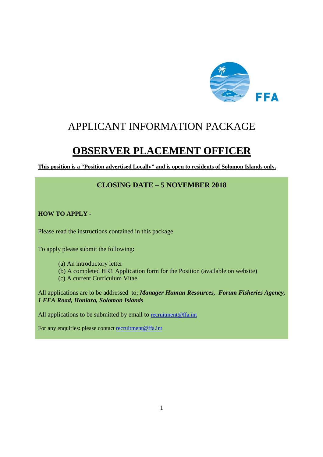

# APPLICANT INFORMATION PACKAGE

# **OBSERVER PLACEMENT OFFICER**

**This position is a "Position advertised Locally" and is open to residents of Solomon Islands only.** 

## **CLOSING DATE – 5 NOVEMBER 2018**

**HOW TO APPLY -** 

Please read the instructions contained in this package

To apply please submit the following**:** 

- (a) An introductory letter
- (b) A completed HR1 Application form for the Position (available on website)
- (c) A current Curriculum Vitae

All applications are to be addressed to; *Manager Human Resources, Forum Fisheries Agency, 1 FFA Road, Honiara, Solomon Islands* 

All applications to be submitted by email to recruitment@ffa.int

For any enquiries: please contact recruitment@ffa.int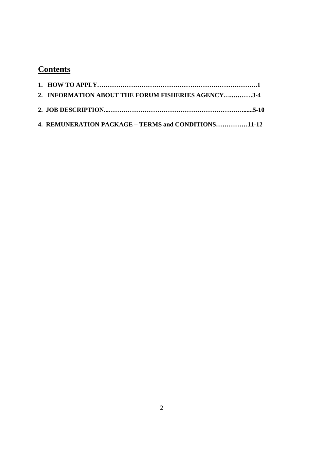# **Contents**

| 2. INFORMATION ABOUT THE FORUM FISHERIES AGENCY3-4  |  |
|-----------------------------------------------------|--|
|                                                     |  |
| 4. REMUNERATION PACKAGE – TERMS and CONDITIONS11-12 |  |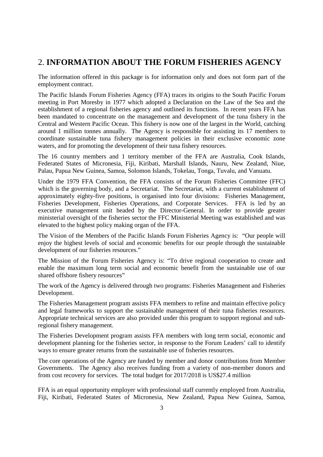# 2. **INFORMATION ABOUT THE FORUM FISHERIES AGENCY**

The information offered in this package is for information only and does not form part of the employment contract.

The Pacific Islands Forum Fisheries Agency (FFA) traces its origins to the South Pacific Forum meeting in Port Moresby in 1977 which adopted a Declaration on the Law of the Sea and the establishment of a regional fisheries agency and outlined its functions. In recent years FFA has been mandated to concentrate on the management and development of the tuna fishery in the Central and Western Pacific Ocean. This fishery is now one of the largest in the World, catching around 1 million tonnes annually. The Agency is responsible for assisting its 17 members to coordinate sustainable tuna fishery management policies in their exclusive economic zone waters, and for promoting the development of their tuna fishery resources.

The 16 country members and 1 territory member of the FFA are Australia, Cook Islands, Federated States of Micronesia, Fiji, Kiribati, Marshall Islands, Nauru, New Zealand, Niue, Palau, Papua New Guinea, Samoa, Solomon Islands, Tokelau, Tonga, Tuvalu, and Vanuatu.

Under the 1979 FFA Convention, the FFA consists of the Forum Fisheries Committee (FFC) which is the governing body, and a Secretariat. The Secretariat, with a current establishment of approximately eighty-five positions, is organised into four divisions: Fisheries Management, Fisheries Development, Fisheries Operations, and Corporate Services. FFA is led by an executive management unit headed by the Director-General. In order to provide greater ministerial oversight of the fisheries sector the FFC Ministerial Meeting was established and was elevated to the highest policy making organ of the FFA.

The Vision of the Members of the Pacific Islands Forum Fisheries Agency is: "Our people will enjoy the highest levels of social and economic benefits for our people through the sustainable development of our fisheries resources."

The Mission of the Forum Fisheries Agency is: "To drive regional cooperation to create and enable the maximum long term social and economic benefit from the sustainable use of our shared offshore fishery resources"

The work of the Agency is delivered through two programs: Fisheries Management and Fisheries Development.

The Fisheries Management program assists FFA members to refine and maintain effective policy and legal frameworks to support the sustainable management of their tuna fisheries resources. Appropriate technical services are also provided under this program to support regional and subregional fishery management.

The Fisheries Development program assists FFA members with long term social, economic and development planning for the fisheries sector, in response to the Forum Leaders' call to identify ways to ensure greater returns from the sustainable use of fisheries resources.

The core operations of the Agency are funded by member and donor contributions from Member Governments. The Agency also receives funding from a variety of non-member donors and from cost recovery for services. The total budget for 2017/2018 is US\$27.4 million

FFA is an equal opportunity employer with professional staff currently employed from Australia, Fiji, Kiribati, Federated States of Micronesia, New Zealand, Papua New Guinea, Samoa,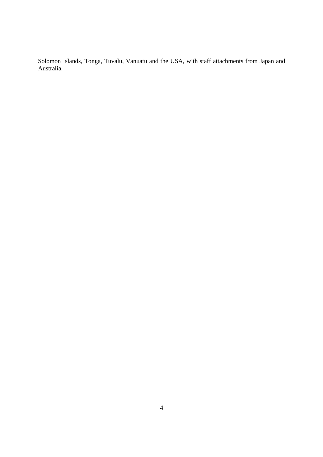Solomon Islands, Tonga, Tuvalu, Vanuatu and the USA, with staff attachments from Japan and Australia.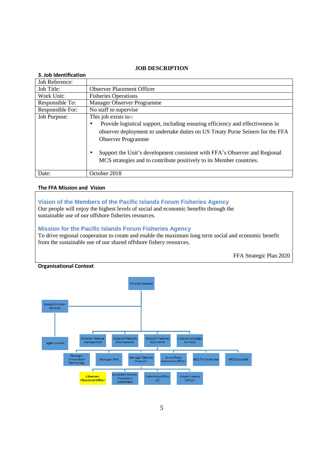#### **JOB DESCRIPTION**

| 3. Job Identification |                                                                                                                                                                 |
|-----------------------|-----------------------------------------------------------------------------------------------------------------------------------------------------------------|
| Job Reference:        |                                                                                                                                                                 |
| Job Title:            | <b>Observer Placement Officer</b>                                                                                                                               |
| Work Unit:            | <b>Fisheries Operations</b>                                                                                                                                     |
| Responsible To:       | Manager Observer Programme                                                                                                                                      |
| Responsible For:      | No staff to supervise                                                                                                                                           |
| Job Purpose:          | This job exists to-:                                                                                                                                            |
|                       | Provide logistical support, including ensuring efficiency and effectiveness in<br>$\bullet$                                                                     |
|                       | observer deployment to undertake duties on US Treaty Purse Seiners for the FFA                                                                                  |
|                       | <b>Observer Programme</b>                                                                                                                                       |
|                       | Support the Unit's development consistent with FFA's Observer and Regional<br>$\bullet$<br>MCS strategies and to contribute positively to its Member countries. |
| Date:                 | October 2018                                                                                                                                                    |

#### **The FFA Mission and Vision**

## **Vision of the Members of the Pacific Islands Forum Fisheries Agency**

Our people will enjoy the highest levels of social and economic benefits through the sustainable use of our offshore fisheries resources.

#### **Mission for the Pacific Islands Forum Fisheries Agency**

To drive regional cooperation to create and enable the maximum long term social and economic benefit from the sustainable use of our shared offshore fishery resources.

FFA Strategic Plan 2020

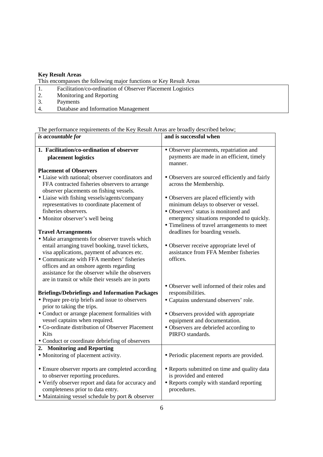#### **Key Result Areas**

This encompasses the following major functions or Key Result Areas<br>1. Facilitation/co-ordination of Observer Placement Logistics 1. Facilitation/co-ordination of Observer Placement Logistics<br>2. Monitoring and Reporting 2. Monitoring and Reporting<br>3. Payments Payments 4. Database and Information Management

The performance requirements of the Key Result Areas are broadly described below;

| is accountable for                                                                                                                            | and is successful when                                                          |
|-----------------------------------------------------------------------------------------------------------------------------------------------|---------------------------------------------------------------------------------|
| 1. Facilitation/co-ordination of observer                                                                                                     | · Observer placements, repatriation and                                         |
| placement logistics                                                                                                                           | payments are made in an efficient, timely<br>manner.                            |
| <b>Placement of Observers</b>                                                                                                                 |                                                                                 |
| • Liaise with national; observer coordinators and<br>FFA contracted fisheries observers to arrange<br>observer placements on fishing vessels. | • Observers are sourced efficiently and fairly<br>across the Membership.        |
| • Liaise with fishing vessels/agents/company                                                                                                  | · Observers are placed efficiently with                                         |
| representatives to coordinate placement of                                                                                                    | minimum delays to observer or vessel.                                           |
| fisheries observers.                                                                                                                          | • Observers' status is monitored and                                            |
| • Monitor observer's well being                                                                                                               | emergency situations responded to quickly.                                      |
|                                                                                                                                               | • Timeliness of travel arrangements to meet                                     |
| <b>Travel Arrangements</b>                                                                                                                    | deadlines for boarding vessels.                                                 |
| • Make arrangements for observer travels which                                                                                                |                                                                                 |
| entail arranging travel booking, travel tickets,<br>visa applications, payment of advances etc.                                               | • Observer receive appropriate level of<br>assistance from FFA Member fisheries |
| • Communicate with FFA members' fisheries                                                                                                     | offices.                                                                        |
| offices and an onshore agents regarding                                                                                                       |                                                                                 |
| assistance for the observer while the observers                                                                                               |                                                                                 |
| are in transit or while their vessels are in ports                                                                                            |                                                                                 |
|                                                                                                                                               | • Observer well informed of their roles and                                     |
| <b>Briefings/Debriefings and Information Packages</b>                                                                                         | responsibilities.                                                               |
| • Prepare pre-trip briefs and issue to observers                                                                                              | • Captains understand observers' role.                                          |
| prior to taking the trips.                                                                                                                    |                                                                                 |
| • Conduct or arrange placement formalities with                                                                                               | • Observers provided with appropriate                                           |
| vessel captains when required.                                                                                                                | equipment and documentation.                                                    |
| • Co-ordinate distribution of Observer Placement                                                                                              | • Observers are debriefed according to                                          |
| Kits                                                                                                                                          | PIRFO standards.                                                                |
| • Conduct or coordinate debriefing of observers                                                                                               |                                                                                 |
| 2. Monitoring and Reporting                                                                                                                   |                                                                                 |
| • Monitoring of placement activity.                                                                                                           | • Periodic placement reports are provided.                                      |
| • Ensure observer reports are completed according                                                                                             | • Reports submitted on time and quality data                                    |
| to observer reporting procedures.                                                                                                             | is provided and entered                                                         |
| • Verify observer report and data for accuracy and                                                                                            | • Reports comply with standard reporting                                        |
| completeness prior to data entry.                                                                                                             | procedures.                                                                     |
| • Maintaining vessel schedule by port & observer                                                                                              |                                                                                 |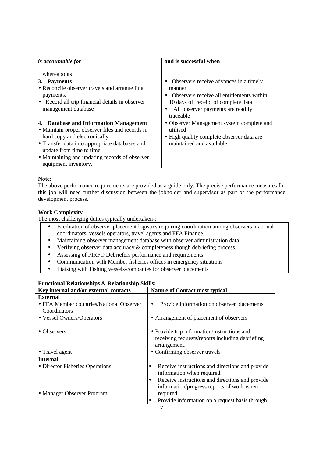| is accountable for                                                                                                                                                                                                                                                                 | and is successful when                                                                                                                                                                   |
|------------------------------------------------------------------------------------------------------------------------------------------------------------------------------------------------------------------------------------------------------------------------------------|------------------------------------------------------------------------------------------------------------------------------------------------------------------------------------------|
| whereabouts                                                                                                                                                                                                                                                                        |                                                                                                                                                                                          |
| 3. Payments<br>• Reconcile observer travels and arrange final<br>payments.<br>• Record all trip financial details in observer<br>management database                                                                                                                               | • Observers receive advances in a timely<br>manner<br>Observers receive all entitlements within<br>10 days of receipt of complete data<br>All observer payments are readily<br>traceable |
| 4. Database and Information Management<br>• Maintain proper observer files and records in<br>hard copy and electronically<br>• Transfer data into appropriate databases and<br>update from time to time.<br>• Maintaining and updating records of observer<br>equipment inventory. | • Observer Management system complete and<br>utilised<br>• High quality complete observer data are<br>maintained and available.                                                          |

#### **Note:**

The above performance requirements are provided as a guide only. The precise performance measures for this job will need further discussion between the jobholder and supervisor as part of the performance development process.

#### **Work Complexity**

The most challenging duties typically undertaken-;

- Facilitation of observer placement logistics requiring coordination among observers, national coordinators, vessels operators, travel agents and FFA Finance.
- Maintaining observer management database with observer administration data.
- Verifying observer data accuracy & completeness though debriefing process.
- Assessing of PIRFO Debriefers performance and requirements
- Communication with Member fisheries offices in emergency situations
- Liaising with Fishing vessels/companies for observer placements

### **Functional Relationships & Relationship Skills:**

| Key internal and/or external contacts    | <b>Nature of Contact most typical</b>                       |
|------------------------------------------|-------------------------------------------------------------|
| <b>External</b>                          |                                                             |
| • FFA Member countries/National Observer | Provide information on observer placements<br>٠             |
| Coordinators                             |                                                             |
| • Vessel Owners/Operators                | • Arrangement of placement of observers                     |
| • Observers                              | • Provide trip information/instructions and                 |
|                                          | receiving requests/reports including debriefing             |
|                                          | arrangement.                                                |
| • Travel agent                           | • Confirming observer travels                               |
| <b>Internal</b>                          |                                                             |
| • Director Fisheries Operations.         | Receive instructions and directions and provide<br>٠        |
|                                          | information when required.                                  |
|                                          | Receive instructions and directions and provide<br>lo       |
|                                          | information/progress reports of work when                   |
| • Manager Observer Program               | required.                                                   |
|                                          | Provide information on a request basis through<br>$\bullet$ |
|                                          | $\overline{ }$                                              |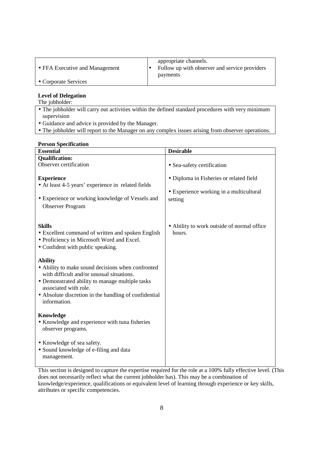| • FFA Executive and Management | appropriate channels.<br>Follow up with observer and service providers<br>payments |
|--------------------------------|------------------------------------------------------------------------------------|
| • Corporate Services           |                                                                                    |

# **Level of Delegation**

The jobholder:

- The jobholder will carry out activities within the defined standard procedures with very minimum supervision
- Guidance and advice is provided by the Manager.
- The jobholder will report to the Manager on any complex issues arising from observer operations.

#### **Person Specification**

| <b>Essential</b>                                                                                                                                                                                                                                                      | <b>Desirable</b>                                                                              |
|-----------------------------------------------------------------------------------------------------------------------------------------------------------------------------------------------------------------------------------------------------------------------|-----------------------------------------------------------------------------------------------|
| <b>Qualification:</b>                                                                                                                                                                                                                                                 |                                                                                               |
| Observer certification                                                                                                                                                                                                                                                | • Sea-safety certification                                                                    |
| <b>Experience</b><br>• At least 4-5 years' experience in related fields<br>• Experience or working knowledge of Vessels and<br><b>Observer Program</b>                                                                                                                | • Diploma in Fisheries or related field<br>• Experience working in a multicultural<br>setting |
| <b>Skills</b>                                                                                                                                                                                                                                                         | • Ability to work outside of normal office                                                    |
| • Excellent command of written and spoken English<br>• Proficiency in Microsoft Word and Excel.<br>• Confident with public speaking.                                                                                                                                  | hours.                                                                                        |
| <b>Ability</b><br>• Ability to make sound decisions when confronted<br>with difficult and/or unusual situations.<br>• Demonstrated ability to manage multiple tasks<br>associated with role.<br>• Absolute discretion in the handling of confidential<br>information. |                                                                                               |
| Knowledge<br>• Knowledge and experience with tuna fisheries<br>observer programs.                                                                                                                                                                                     |                                                                                               |
| • Knowledge of sea safety.<br>• Sound knowledge of e-filing and data<br>management.                                                                                                                                                                                   |                                                                                               |

This section is designed to capture the expertise required for the role at a 100% fully effective level. (This does not necessarily reflect what the current jobholder has). This may be a combination of knowledge/experience, qualifications or equivalent level of learning through experience or key skills, attributes or specific competencies.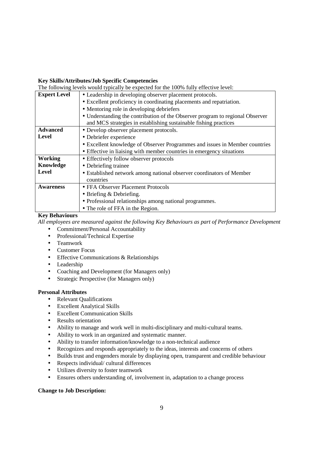#### **Key Skills/Attributes/Job Specific Competencies**

The following levels would typically be expected for the 100% fully effective level:

| <b>Expert Level</b> | • Leadership in developing observer placement protocols.                      |  |
|---------------------|-------------------------------------------------------------------------------|--|
|                     | • Excellent proficiency in coordinating placements and repatriation.          |  |
|                     | • Mentoring role in developing debriefers                                     |  |
|                     | • Understanding the contribution of the Observer program to regional Observer |  |
|                     | and MCS strategies in establishing sustainable fishing practices              |  |
| <b>Advanced</b>     | • Develop observer placement protocols.                                       |  |
| Level               | • Debriefer experience                                                        |  |
|                     | • Excellent knowledge of Observer Programmes and issues in Member countries   |  |
|                     | • Effective in liaising with member countries in emergency situations         |  |
| Working             | • Effectively follow observer protocols                                       |  |
| Knowledge           | • Debriefing trainee                                                          |  |
| Level               | • Established network among national observer coordinators of Member          |  |
|                     | countries                                                                     |  |
| <b>Awareness</b>    | • FFA Observer Placement Protocols                                            |  |
|                     | • Briefing $&$ Debriefing.                                                    |  |
|                     | • Professional relationships among national programmes.                       |  |
|                     | • The role of FFA in the Region.                                              |  |

#### **Key Behaviours**

*All employees are measured against the following Key Behaviours as part of Performance Development* 

- Commitment/Personal Accountability
- Professional/Technical Expertise
- Teamwork
- Customer Focus
- Effective Communications & Relationships
- Leadership
- Coaching and Development (for Managers only)
- Strategic Perspective (for Managers only)

#### **Personal Attributes**

- Relevant Qualifications
- Excellent Analytical Skills
- Excellent Communication Skills
- Results orientation
- Ability to manage and work well in multi-disciplinary and multi-cultural teams.
- Ability to work in an organized and systematic manner.
- Ability to transfer information/knowledge to a non-technical audience
- Recognizes and responds appropriately to the ideas, interests and concerns of others
- Builds trust and engenders morale by displaying open, transparent and credible behaviour
- Respects individual/ cultural differences
- Utilizes diversity to foster teamwork
- Ensures others understanding of, involvement in, adaptation to a change process

#### **Change to Job Description:**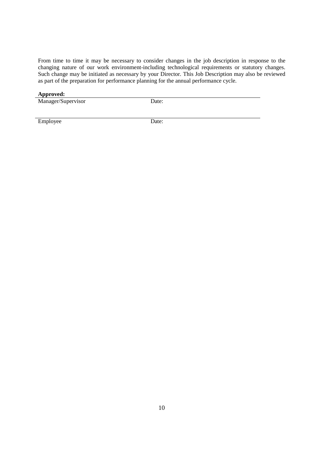From time to time it may be necessary to consider changes in the job description in response to the changing nature of our work environment-including technological requirements or statutory changes. Such change may be initiated as necessary by your Director. This Job Description may also be reviewed as part of the preparation for performance planning for the annual performance cycle.

#### **Approved:**

Manager/Supervisor Date:

Employee Date: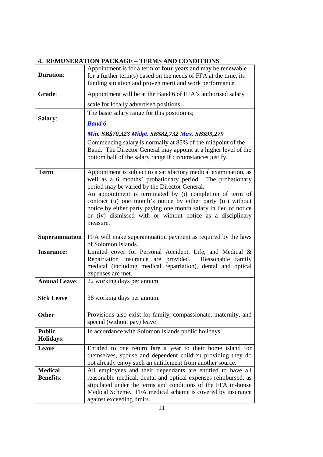## **4. REMUNERATION PACKAGE – TERMS AND CONDITIONS**

| <b>Duration:</b>                   | Appointment is for a term of <b>four</b> years and may be renewable<br>for a further term(s) based on the needs of FFA at the time, its<br>funding situation and proven merit and work performance.                                                                                                                                                                                                                                                         |
|------------------------------------|-------------------------------------------------------------------------------------------------------------------------------------------------------------------------------------------------------------------------------------------------------------------------------------------------------------------------------------------------------------------------------------------------------------------------------------------------------------|
| Grade:                             | Appointment will be at the Band 6 of FFA's authorised salary                                                                                                                                                                                                                                                                                                                                                                                                |
|                                    | scale for locally advertised positions.                                                                                                                                                                                                                                                                                                                                                                                                                     |
|                                    | The basic salary range for this position is;                                                                                                                                                                                                                                                                                                                                                                                                                |
| Salary:                            | <b>Band 6</b>                                                                                                                                                                                                                                                                                                                                                                                                                                               |
|                                    | Min. SB\$70,323 Midpt. SB\$82,732 Max. SB\$99,279                                                                                                                                                                                                                                                                                                                                                                                                           |
|                                    | Commencing salary is normally at 85% of the midpoint of the<br>Band. The Director General may appoint at a higher level of the<br>bottom half of the salary range if circumstances justify.                                                                                                                                                                                                                                                                 |
| Term:                              | Appointment is subject to a satisfactory medical examination, as<br>well as a 6 months' probationary period. The probationary<br>period may be varied by the Director General.<br>An appointment is terminated by (i) completion of term of<br>contract (ii) one month's notice by either party (iii) without<br>notice by either party paying one month salary in lieu of notice<br>or (iv) dismissed with or without notice as a disciplinary<br>measure. |
| <b>Superannuation</b>              | FFA will make superannuation payment as required by the laws<br>of Solomon Islands.                                                                                                                                                                                                                                                                                                                                                                         |
| <b>Insurance:</b>                  | Limited cover for Personal Accident, Life, and Medical &<br>Repatriation Insurance are provided. Reasonable family<br>medical (including medical repatriation), dental and optical<br>expenses are met.                                                                                                                                                                                                                                                     |
| <b>Annual Leave:</b>               | 22 working days per annum                                                                                                                                                                                                                                                                                                                                                                                                                                   |
| <b>Sick Leave</b>                  | 36 working days per annum.                                                                                                                                                                                                                                                                                                                                                                                                                                  |
| <b>Other</b>                       | Provisions also exist for family, compassionate, maternity, and<br>special (without pay) leave                                                                                                                                                                                                                                                                                                                                                              |
| <b>Public</b><br><b>Holidays:</b>  | In accordance with Solomon Islands public holidays.                                                                                                                                                                                                                                                                                                                                                                                                         |
| Leave                              | Entitled to one return fare a year to their home island for<br>themselves, spouse and dependent children providing they do<br>not already enjoy such an entitlement from another source.                                                                                                                                                                                                                                                                    |
| <b>Medical</b><br><b>Benefits:</b> | All employees and their dependants are entitled to have all<br>reasonable medical, dental and optical expenses reimbursed, as<br>stipulated under the terms and conditions of the FFA in-house<br>Medical Scheme. FFA medical scheme is covered by insurance<br>against exceeding limits.                                                                                                                                                                   |